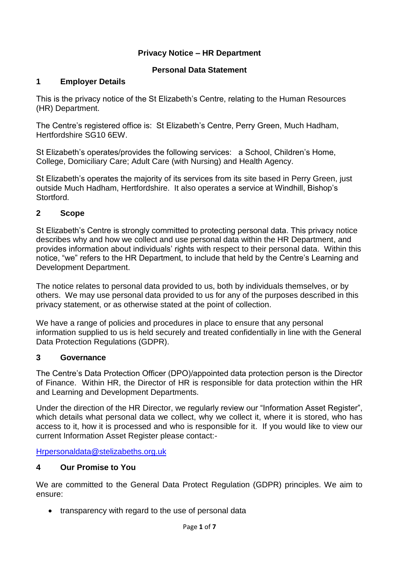## **Privacy Notice – HR Department**

### **Personal Data Statement**

### **1 Employer Details**

This is the privacy notice of the St Elizabeth's Centre, relating to the Human Resources (HR) Department.

The Centre's registered office is: St Elizabeth's Centre, Perry Green, Much Hadham, Hertfordshire SG10 6EW.

St Elizabeth's operates/provides the following services: a School, Children's Home, College, Domiciliary Care; Adult Care (with Nursing) and Health Agency.

St Elizabeth's operates the majority of its services from its site based in Perry Green, just outside Much Hadham, Hertfordshire. It also operates a service at Windhill, Bishop's **Stortford** 

#### **2 Scope**

St Elizabeth's Centre is strongly committed to protecting personal data. This privacy notice describes why and how we collect and use personal data within the HR Department, and provides information about individuals' rights with respect to their personal data. Within this notice, "we" refers to the HR Department, to include that held by the Centre's Learning and Development Department.

The notice relates to personal data provided to us, both by individuals themselves, or by others. We may use personal data provided to us for any of the purposes described in this privacy statement, or as otherwise stated at the point of collection.

We have a range of policies and procedures in place to ensure that any personal information supplied to us is held securely and treated confidentially in line with the General Data Protection Regulations (GDPR).

#### **3 Governance**

The Centre's Data Protection Officer (DPO)/appointed data protection person is the Director of Finance. Within HR, the Director of HR is responsible for data protection within the HR and Learning and Development Departments.

Under the direction of the HR Director, we regularly review our "Information Asset Register", which details what personal data we collect, why we collect it, where it is stored, who has access to it, how it is processed and who is responsible for it. If you would like to view our current Information Asset Register please contact:-

[Hrpersonaldata@stelizabeths.org.uk](mailto:hrpersonaldata@stelizabeths.org.uk)

### **4 Our Promise to You**

We are committed to the General Data Protect Regulation (GDPR) principles. We aim to ensure:

• transparency with regard to the use of personal data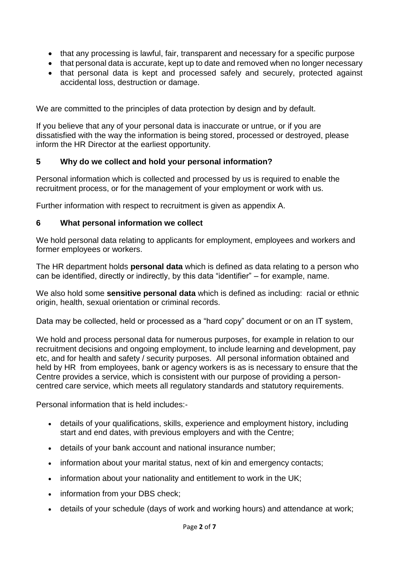- that any processing is lawful, fair, transparent and necessary for a specific purpose
- that personal data is accurate, kept up to date and removed when no longer necessary
- that personal data is kept and processed safely and securely, protected against accidental loss, destruction or damage.

We are committed to the principles of data protection by design and by default.

If you believe that any of your personal data is inaccurate or untrue, or if you are dissatisfied with the way the information is being stored, processed or destroyed, please inform the HR Director at the earliest opportunity.

#### **5 Why do we collect and hold your personal information?**

Personal information which is collected and processed by us is required to enable the recruitment process, or for the management of your employment or work with us.

Further information with respect to recruitment is given as appendix A.

#### **6 What personal information we collect**

We hold personal data relating to applicants for employment, employees and workers and former employees or workers.

The HR department holds **personal data** which is defined as data relating to a person who can be identified, directly or indirectly, by this data "identifier" – for example, name.

We also hold some **sensitive personal data** which is defined as including: racial or ethnic origin, health, sexual orientation or criminal records.

Data may be collected, held or processed as a "hard copy" document or on an IT system,

We hold and process personal data for numerous purposes, for example in relation to our recruitment decisions and ongoing employment, to include learning and development, pay etc, and for health and safety / security purposes. All personal information obtained and held by HR from employees, bank or agency workers is as is necessary to ensure that the Centre provides a service, which is consistent with our purpose of providing a personcentred care service, which meets all regulatory standards and statutory requirements.

Personal information that is held includes:-

- details of your qualifications, skills, experience and employment history, including start and end dates, with previous employers and with the Centre;
- details of your bank account and national insurance number;
- information about your marital status, next of kin and emergency contacts;
- information about your nationality and entitlement to work in the UK;
- information from your DBS check;
- details of your schedule (days of work and working hours) and attendance at work;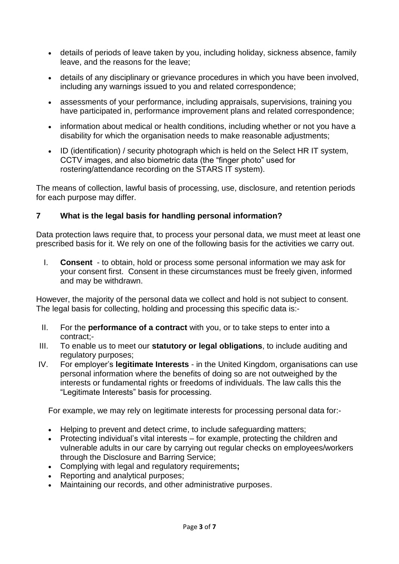- details of periods of leave taken by you, including holiday, sickness absence, family leave, and the reasons for the leave;
- details of any disciplinary or grievance procedures in which you have been involved, including any warnings issued to you and related correspondence;
- assessments of your performance, including appraisals, supervisions, training you have participated in, performance improvement plans and related correspondence;
- information about medical or health conditions, including whether or not you have a disability for which the organisation needs to make reasonable adjustments;
- ID (identification) / security photograph which is held on the Select HR IT system, CCTV images, and also biometric data (the "finger photo" used for rostering/attendance recording on the STARS IT system).

The means of collection, lawful basis of processing, use, disclosure, and retention periods for each purpose may differ.

### **7 What is the legal basis for handling personal information?**

Data protection laws require that, to process your personal data, we must meet at least one prescribed basis for it. We rely on one of the following basis for the activities we carry out.

I. **Consent** - to obtain, hold or process some personal information we may ask for your consent first. Consent in these circumstances must be freely given, informed and may be withdrawn.

However, the majority of the personal data we collect and hold is not subject to consent. The legal basis for collecting, holding and processing this specific data is:-

- II. For the **performance of a contract** with you, or to take steps to enter into a contract;-
- III. To enable us to meet our **statutory or legal obligations**, to include auditing and regulatory purposes;
- IV. For employer's **legitimate Interests** in the United Kingdom, organisations can use personal information where the benefits of doing so are not outweighed by the interests or fundamental rights or freedoms of individuals. The law calls this the "Legitimate Interests" basis for processing.

For example, we may rely on legitimate interests for processing personal data for:-

- Helping to prevent and detect crime, to include safeguarding matters:
- Protecting individual's vital interests for example, protecting the children and vulnerable adults in our care by carrying out regular checks on employees/workers through the Disclosure and Barring Service;
- Complying with legal and regulatory requirements**;**
- Reporting and analytical purposes;
- Maintaining our records, and other administrative purposes.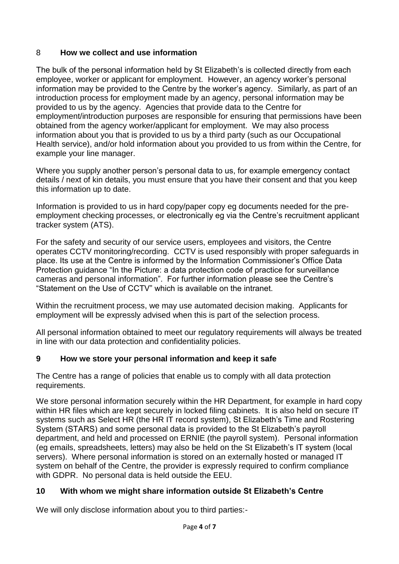# 8 **How we collect and use information**

The bulk of the personal information held by St Elizabeth's is collected directly from each employee, worker or applicant for employment. However, an agency worker's personal information may be provided to the Centre by the worker's agency. Similarly, as part of an introduction process for employment made by an agency, personal information may be provided to us by the agency. Agencies that provide data to the Centre for employment/introduction purposes are responsible for ensuring that permissions have been obtained from the agency worker/applicant for employment. We may also process information about you that is provided to us by a third party (such as our Occupational Health service), and/or hold information about you provided to us from within the Centre, for example your line manager.

Where you supply another person's personal data to us, for example emergency contact details / next of kin details, you must ensure that you have their consent and that you keep this information up to date.

Information is provided to us in hard copy/paper copy eg documents needed for the preemployment checking processes, or electronically eg via the Centre's recruitment applicant tracker system (ATS).

For the safety and security of our service users, employees and visitors, the Centre operates CCTV monitoring/recording. CCTV is used responsibly with proper safeguards in place. Its use at the Centre is informed by the Information Commissioner's Office Data Protection guidance "In the Picture: a data protection code of practice for surveillance cameras and personal information". For further information please see the Centre's "Statement on the Use of CCTV" which is available on the intranet.

Within the recruitment process, we may use automated decision making. Applicants for employment will be expressly advised when this is part of the selection process.

All personal information obtained to meet our regulatory requirements will always be treated in line with our data protection and confidentiality policies.

### **9 How we store your personal information and keep it safe**

The Centre has a range of policies that enable us to comply with all data protection requirements.

We store personal information securely within the HR Department, for example in hard copy within HR files which are kept securely in locked filing cabinets. It is also held on secure IT systems such as Select HR (the HR IT record system), St Elizabeth's Time and Rostering System (STARS) and some personal data is provided to the St Elizabeth's payroll department, and held and processed on ERNIE (the payroll system). Personal information (eg emails, spreadsheets, letters) may also be held on the St Elizabeth's IT system (local servers). Where personal information is stored on an externally hosted or managed IT system on behalf of the Centre, the provider is expressly required to confirm compliance with GDPR. No personal data is held outside the EEU.

### **10 With whom we might share information outside St Elizabeth's Centre**

We will only disclose information about you to third parties:-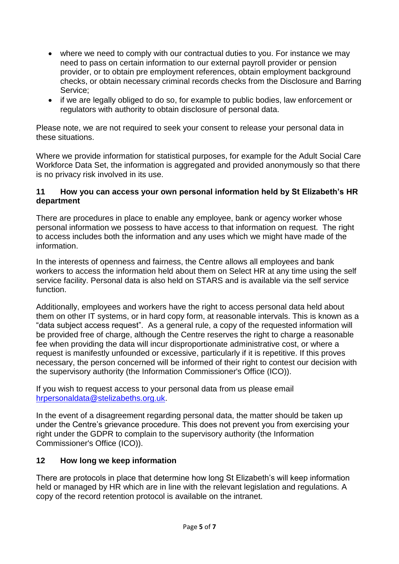- where we need to comply with our contractual duties to you. For instance we may need to pass on certain information to our external payroll provider or pension provider, or to obtain pre employment references, obtain employment background checks, or obtain necessary criminal records checks from the Disclosure and Barring Service;
- if we are legally obliged to do so, for example to public bodies, law enforcement or regulators with authority to obtain disclosure of personal data.

Please note, we are not required to seek your consent to release your personal data in these situations.

Where we provide information for statistical purposes, for example for the Adult Social Care Workforce Data Set, the information is aggregated and provided anonymously so that there is no privacy risk involved in its use.

### **11 How you can access your own personal information held by St Elizabeth's HR department**

There are procedures in place to enable any employee, bank or agency worker whose personal information we possess to have access to that information on request. The right to access includes both the information and any uses which we might have made of the information.

In the interests of openness and fairness, the Centre allows all employees and bank workers to access the information held about them on Select HR at any time using the self service facility. Personal data is also held on STARS and is available via the self service function.

Additionally, employees and workers have the right to access personal data held about them on other IT systems, or in hard copy form, at reasonable intervals. This is known as a "data subject access request". As a general rule, a copy of the requested information will be provided free of charge, although the Centre reserves the right to charge a reasonable fee when providing the data will incur disproportionate administrative cost, or where a request is manifestly unfounded or excessive, particularly if it is repetitive. If this proves necessary, the person concerned will be informed of their right to contest our decision with the supervisory authority (the Information Commissioner's Office (ICO)).

If you wish to request access to your personal data from us please email [hrpersonaldata@stelizabeths.org.uk.](mailto:hrpersonaldata@stelizabeths.org.uk)

In the event of a disagreement regarding personal data, the matter should be taken up under the Centre's grievance procedure. This does not prevent you from exercising your right under the GDPR to complain to the supervisory authority (the Information Commissioner's Office (ICO)).

### **12 How long we keep information**

There are protocols in place that determine how long St Elizabeth's will keep information held or managed by HR which are in line with the relevant legislation and regulations. A copy of the record retention protocol is available on the intranet.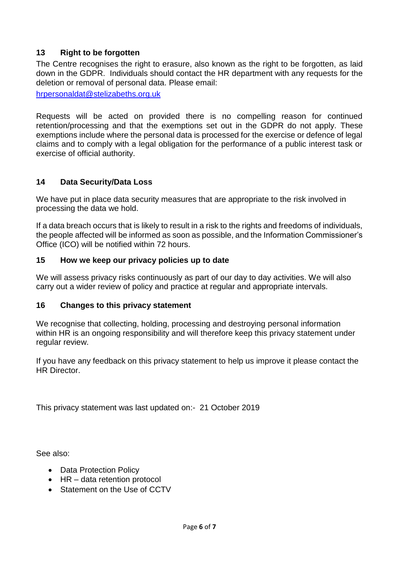# **13 Right to be forgotten**

The Centre recognises the right to erasure, also known as the right to be forgotten, as laid down in the GDPR. Individuals should contact the HR department with any requests for the deletion or removal of personal data. Please email:

[hrpersonaldat@stelizabeths.org.uk](mailto:hrpersonaldat@stelizabeths.org.uk)

Requests will be acted on provided there is no compelling reason for continued retention/processing and that the exemptions set out in the GDPR do not apply. These exemptions include where the personal data is processed for the exercise or defence of legal claims and to comply with a legal obligation for the performance of a public interest task or exercise of official authority.

#### **14 Data Security/Data Loss**

We have put in place data security measures that are appropriate to the risk involved in processing the data we hold.

If a data breach occurs that is likely to result in a risk to the rights and freedoms of individuals, the people affected will be informed as soon as possible, and the Information Commissioner's Office (ICO) will be notified within 72 hours.

#### **15 How we keep our privacy policies up to date**

We will assess privacy risks continuously as part of our day to day activities. We will also carry out a wider review of policy and practice at regular and appropriate intervals.

#### **16 Changes to this privacy statement**

We recognise that collecting, holding, processing and destroying personal information within HR is an ongoing responsibility and will therefore keep this privacy statement under regular review.

If you have any feedback on this privacy statement to help us improve it please contact the HR Director.

This privacy statement was last updated on:- 21 October 2019

See also:

- Data Protection Policy
- HR data retention protocol
- Statement on the Use of CCTV